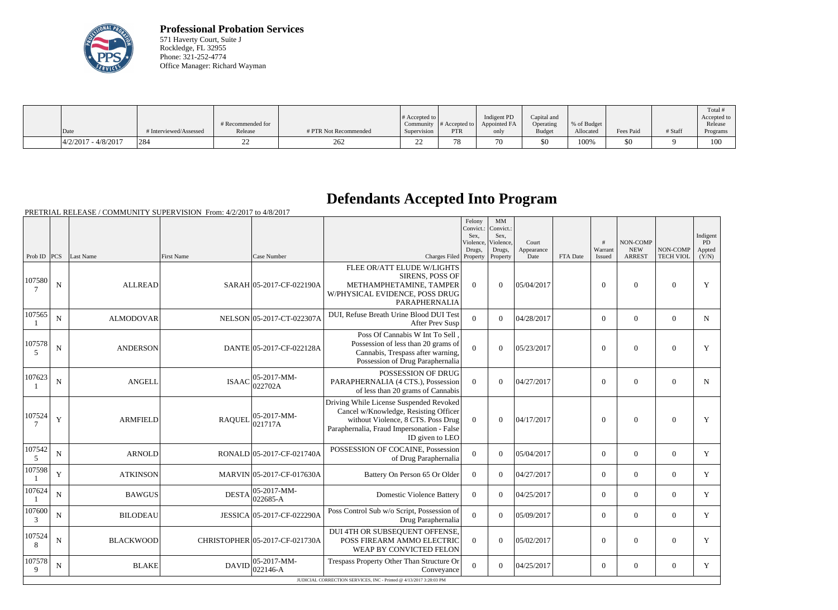

**Professional Probation Services** 571 Haverty Court, Suite J Rockledge, FL 32955 Phone: 321-252-4774 Office Manager: Richard Wayman

|                         |                        | # Recommended for |                       | $\#$ Accepted to $\ $    | Community $\#$ Accepted to $\ $ | Indigent PD<br>Appointed FA | Capital and<br>Operating | % of Budget |           |         | Total<br>Accepted to<br>Release |
|-------------------------|------------------------|-------------------|-----------------------|--------------------------|---------------------------------|-----------------------------|--------------------------|-------------|-----------|---------|---------------------------------|
| Date                    | f Interviewed/Assessed | Release           | # PTR Not Recommended | Supervision              | <b>PTR</b>                      | only                        | Budget                   | Allocated   | Fees Paid | # Staff | Programs                        |
| $ 4/2/2017 - 4/8/2017 $ | 1284                   | ∠∠                | 262                   | $\overline{\phantom{a}}$ | 78                              | 70                          | \$0                      | 100%        | \$0       |         | 1 U U                           |

## **Defendants Accepted Into Program**

|                  |             |                  |               |                                                     |                                                                                                                                                                                         | Felony<br>Convict.:<br>Sex.<br>Violence. | MM<br>Convict.:<br>Sex,<br>Violence, | Court              |          | #                 | NON-COMP                    |                              | Indigent<br>PD  |
|------------------|-------------|------------------|---------------|-----------------------------------------------------|-----------------------------------------------------------------------------------------------------------------------------------------------------------------------------------------|------------------------------------------|--------------------------------------|--------------------|----------|-------------------|-----------------------------|------------------------------|-----------------|
| Prob ID $ PCS $  |             | Last Name        | First Name    | Case Number                                         | Charges Filed Property                                                                                                                                                                  | Drugs,                                   | Drugs,<br>Property                   | Appearance<br>Date | FTA Date | Warrant<br>Issued | <b>NEW</b><br><b>ARREST</b> | NON-COMP<br><b>TECH VIOL</b> | Appted<br>(Y/N) |
| 107580           | ${\bf N}$   | <b>ALLREAD</b>   |               | SARAH 05-2017-CF-022190A                            | FLEE OR/ATT ELUDE W/LIGHTS<br>SIRENS, POSS OF<br>METHAMPHETAMINE, TAMPER<br>W/PHYSICAL EVIDENCE, POSS DRUG<br>PARAPHERNALIA                                                             | $\Omega$                                 | $\theta$                             | 05/04/2017         |          | $\theta$          | $\theta$                    | $\overline{0}$               | Y               |
| 107565           | $\mathbf N$ | <b>ALMODOVAR</b> |               | NELSON 05-2017-CT-022307A                           | DUI, Refuse Breath Urine Blood DUI Test<br>After Prev Susp                                                                                                                              | $\theta$                                 | $\Omega$                             | 04/28/2017         |          | $\theta$          | $\overline{0}$              | $\theta$                     | N               |
| 107578<br>5      | $\mathbf N$ | <b>ANDERSON</b>  |               | DANTE 05-2017-CF-022128A                            | Poss Of Cannabis W Int To Sell.<br>Possession of less than 20 grams of<br>Cannabis, Trespass after warning,<br>Possession of Drug Paraphernalia                                         | $\overline{0}$                           | $\Omega$                             | 05/23/2017         |          | $\theta$          | $\mathbf{0}$                | $\overline{0}$               | $\mathbf{Y}$    |
| 107623           | ${\bf N}$   | <b>ANGELL</b>    | <b>ISAAC</b>  | $ 05-2017-MM-$<br>022702A                           | POSSESSION OF DRUG<br>PARAPHERNALIA (4 CTS.), Possession<br>of less than 20 grams of Cannabis                                                                                           | $\Omega$                                 | $\boldsymbol{0}$                     | 04/27/2017         |          | $\overline{0}$    | $\boldsymbol{0}$            | $\boldsymbol{0}$             | $\mathbf N$     |
| 107524<br>$\tau$ | Y           | <b>ARMFIELD</b>  | <b>RAQUEL</b> | $ 05-2017-MM-$<br> 021717A                          | Driving While License Suspended Revoked<br>Cancel w/Knowledge, Resisting Officer<br>without Violence, 8 CTS. Poss Drug<br>Paraphernalia, Fraud Impersonation - False<br>ID given to LEO | $\Omega$                                 | $\Omega$                             | 04/17/2017         |          | $\overline{0}$    | $\boldsymbol{0}$            | $\overline{0}$               | Y               |
| 107542<br>5      | $\mathbf N$ | <b>ARNOLD</b>    |               | RONALD 05-2017-CF-021740A                           | POSSESSION OF COCAINE, Possession<br>of Drug Paraphernalia                                                                                                                              | $\overline{0}$                           | $\Omega$                             | 05/04/2017         |          | $\theta$          | $\overline{0}$              | $\theta$                     | Y               |
| 107598           | Y           | <b>ATKINSON</b>  |               | MARVIN 05-2017-CF-017630A                           | Battery On Person 65 Or Older                                                                                                                                                           | $\overline{0}$                           | $\Omega$                             | 04/27/2017         |          | $\theta$          | $\overline{0}$              | $\theta$                     | Y               |
| 107624           | $\mathbf N$ | <b>BAWGUS</b>    |               | $ 05-2017-MM-$<br>$\text{DESTA}$ $\big  022685 - A$ | <b>Domestic Violence Battery</b>                                                                                                                                                        | $\Omega$                                 | $\Omega$                             | 04/25/2017         |          | $\theta$          | $\mathbf{0}$                | $\theta$                     | Y               |
| 107600<br>3      | $\mathbf N$ | <b>BILODEAU</b>  |               | JESSICA 05-2017-CF-022290A                          | Poss Control Sub w/o Script, Possession of<br>Drug Paraphernalia                                                                                                                        | $\overline{0}$                           | $\Omega$                             | 05/09/2017         |          | $\overline{0}$    | $\overline{0}$              | $\boldsymbol{0}$             | $\mathbf{Y}$    |
| 107524<br>8      | ${\bf N}$   | <b>BLACKWOOD</b> |               | CHRISTOPHER 05-2017-CF-021730A                      | DUI 4TH OR SUBSEQUENT OFFENSE,<br>POSS FIREARM AMMO ELECTRIC<br>WEAP BY CONVICTED FELON                                                                                                 | $\theta$                                 | $\Omega$                             | 05/02/2017         |          | $\overline{0}$    | $\boldsymbol{0}$            | $\boldsymbol{0}$             | Y               |
| 107578<br>9      | ${\bf N}$   | <b>BLAKE</b>     | <b>DAVID</b>  | $ 05-2017-MM-$<br>022146-A                          | Trespass Property Other Than Structure Or<br>Conveyance<br>JUDICIAL CORRECTION SERVICES, INC - Printed @ 4/13/2017 3:28:03 PM                                                           | $\theta$                                 | $\Omega$                             | 04/25/2017         |          | $\theta$          | $\overline{0}$              | $\overline{0}$               | Y               |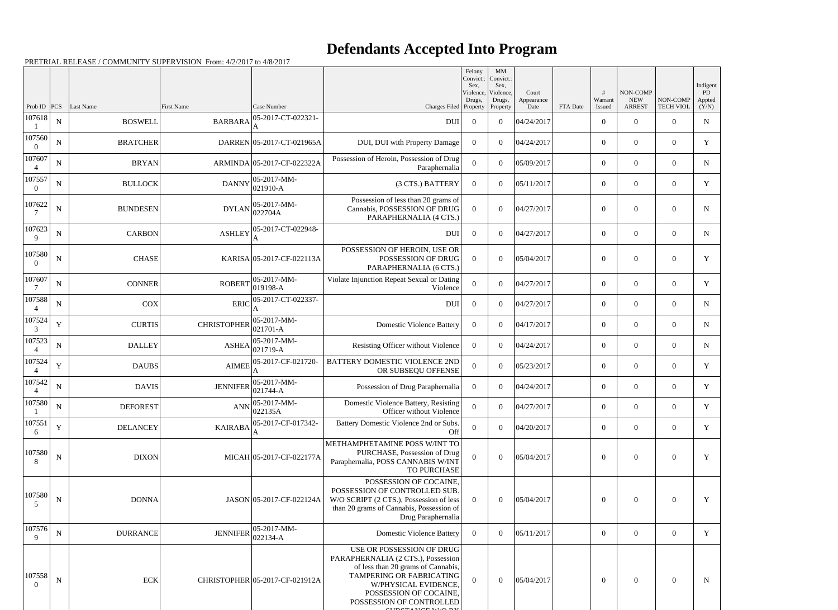|                          |             |                 |                    |                                                                     |                                                                                                                                                                                                                 | Felony<br>Convict.:<br>Sex.<br>Violence,<br>Drugs, | $\mathbf{M}\mathbf{M}$<br>Convict.:<br>Sex,<br>Violence,<br>Drugs, | Court<br>Appearance |          | Warrant        | NON-COMP<br><b>NEW</b> | NON-COMP         | Indigent<br>PD<br>Appted |
|--------------------------|-------------|-----------------|--------------------|---------------------------------------------------------------------|-----------------------------------------------------------------------------------------------------------------------------------------------------------------------------------------------------------------|----------------------------------------------------|--------------------------------------------------------------------|---------------------|----------|----------------|------------------------|------------------|--------------------------|
| Prob ID                  | PCS         | Last Name       | First Name         | Case Number                                                         | Charges Filed Property                                                                                                                                                                                          |                                                    | Property                                                           | Date                | FTA Date | Issued         | <b>ARREST</b>          | <b>TECH VIOL</b> | (Y/N)                    |
| 107618                   | ${\bf N}$   | <b>BOSWELL</b>  | <b>BARBARA</b>     | 05-2017-CT-022321-                                                  | <b>DUI</b>                                                                                                                                                                                                      | $\overline{0}$                                     | $\theta$                                                           | 04/24/2017          |          | $\overline{0}$ | $\overline{0}$         | $\overline{0}$   | ${\bf N}$                |
| 107560<br>$\Omega$       | ${\bf N}$   | <b>BRATCHER</b> |                    | DARREN 05-2017-CT-021965A                                           | DUI, DUI with Property Damage                                                                                                                                                                                   | $\overline{0}$                                     | $\theta$                                                           | 04/24/2017          |          | $\overline{0}$ | $\overline{0}$         | $\overline{0}$   | Y                        |
| 107607<br>$\overline{4}$ | ${\bf N}$   | <b>BRYAN</b>    |                    | ARMINDA 05-2017-CF-022322A                                          | Possession of Heroin, Possession of Drug<br>Paraphernalia                                                                                                                                                       | $\mathbf{0}$                                       | $\theta$                                                           | 05/09/2017          |          | $\overline{0}$ | $\overline{0}$         | $\overline{0}$   | $\mathbf N$              |
| 107557<br>$\Omega$       | ${\bf N}$   | <b>BULLOCK</b>  | <b>DANNY</b>       | $ 05-2017-MM-$<br>$ 021910 - A$                                     | (3 CTS.) BATTERY                                                                                                                                                                                                | $\overline{0}$                                     | $\theta$                                                           | 05/11/2017          |          | $\overline{0}$ | $\boldsymbol{0}$       | $\overline{0}$   | Y                        |
| 107622                   | ${\bf N}$   | <b>BUNDESEN</b> |                    | $DYLAN$ 05-2017-MM-<br>022704A                                      | Possession of less than 20 grams of<br>Cannabis, POSSESSION OF DRUG<br>PARAPHERNALIA (4 CTS.)                                                                                                                   | $\mathbf{0}$                                       | $\theta$                                                           | 04/27/2017          |          | $\overline{0}$ | $\mathbf{0}$           | $\overline{0}$   | $\mathbf N$              |
| 107623<br>9              | ${\bf N}$   | <b>CARBON</b>   | <b>ASHLEY</b>      | 05-2017-CT-022948-                                                  | <b>DUI</b>                                                                                                                                                                                                      | $\overline{0}$                                     | $\theta$                                                           | 04/27/2017          |          | $\overline{0}$ | $\overline{0}$         | $\overline{0}$   | $\mathbf N$              |
| 107580<br>$\Omega$       | ${\bf N}$   | <b>CHASE</b>    |                    | KARISA 05-2017-CF-022113A                                           | POSSESSION OF HEROIN, USE OR<br>POSSESSION OF DRUG<br>PARAPHERNALIA (6 CTS.)                                                                                                                                    | $\Omega$                                           | $\Omega$                                                           | 05/04/2017          |          | $\overline{0}$ | $\mathbf{0}$           | $\overline{0}$   | Y                        |
| 107607                   | $\mathbf N$ | <b>CONNER</b>   | <b>ROBERT</b>      | $ 05-2017-MM-$<br>$ 019198-A$                                       | Violate Injunction Repeat Sexual or Dating<br>Violence                                                                                                                                                          | $\overline{0}$                                     | $\theta$                                                           | 04/27/2017          |          | $\overline{0}$ | $\overline{0}$         | $\overline{0}$   | Y                        |
| 107588                   | ${\bf N}$   | <b>COX</b>      | <b>ERIC</b>        | 05-2017-CT-022337-                                                  | <b>DUI</b>                                                                                                                                                                                                      | $\overline{0}$                                     | $\theta$                                                           | 04/27/2017          |          | $\overline{0}$ | $\overline{0}$         | $\overline{0}$   | $\mathbf N$              |
| 107524<br>3              | $\mathbf Y$ | <b>CURTIS</b>   | <b>CHRISTOPHER</b> | $05-2017-MM$ -<br>$ 021701 - A$                                     | <b>Domestic Violence Battery</b>                                                                                                                                                                                | $\Omega$                                           | $\theta$                                                           | 04/17/2017          |          | $\overline{0}$ | $\overline{0}$         | $\overline{0}$   | $\mathbf N$              |
| 107523<br>$\overline{A}$ | $\mathbf N$ | <b>DALLEY</b>   |                    | $ 05-2017-MM-$<br>$\widehat{\text{ASHEA}}\vert_{021719-A}^{\infty}$ | Resisting Officer without Violence                                                                                                                                                                              | $\overline{0}$                                     | $\theta$                                                           | 04/24/2017          |          | $\overline{0}$ | $\overline{0}$         | $\overline{0}$   | $\mathbf N$              |
| 107524                   | $\mathbf Y$ | <b>DAUBS</b>    |                    | AIMEE 05-2017-CF-021720-                                            | BATTERY DOMESTIC VIOLENCE 2ND<br>OR SUBSEQU OFFENSE                                                                                                                                                             | $\mathbf{0}$                                       | $\overline{0}$                                                     | 05/23/2017          |          | $\overline{0}$ | $\overline{0}$         | $\overline{0}$   | Y                        |
| 107542                   | $\mathbf N$ | <b>DAVIS</b>    | <b>JENNIFER</b>    | $ 05-2017-MM-$<br>$ 021744-A$                                       | Possession of Drug Paraphernalia                                                                                                                                                                                | $\overline{0}$                                     | $\theta$                                                           | 04/24/2017          |          | $\overline{0}$ | $\mathbf{0}$           | $\overline{0}$   | Y                        |
| 107580                   | ${\bf N}$   | <b>DEFOREST</b> |                    | $\text{ANN}$ 05-2017-MM-<br>022135A                                 | Domestic Violence Battery, Resisting<br>Officer without Violence                                                                                                                                                | $\Omega$                                           | $\overline{0}$                                                     | 04/27/2017          |          | $\overline{0}$ | $\overline{0}$         | $\overline{0}$   | Y                        |
| 107551<br>6              | $\mathbf Y$ | <b>DELANCEY</b> | <b>KAIRABA</b>     | 05-2017-CF-017342-                                                  | Battery Domestic Violence 2nd or Subs.<br>Off                                                                                                                                                                   | $\overline{0}$                                     | $\theta$                                                           | 04/20/2017          |          | $\overline{0}$ | $\overline{0}$         | $\overline{0}$   | Y                        |
| 107580<br>8              | ${\bf N}$   | <b>DIXON</b>    |                    | MICAH 05-2017-CF-022177A                                            | METHAMPHETAMINE POSS W/INT TO<br>PURCHASE, Possession of Drug<br>Paraphernalia, POSS CANNABIS W/INT<br>TO PURCHASE                                                                                              | $\Omega$                                           | $\theta$                                                           | 05/04/2017          |          | $\theta$       | $\theta$               | $\overline{0}$   | Y                        |
| 107580<br>5              | ${\bf N}$   | <b>DONNA</b>    |                    | JASON 05-2017-CF-022124A                                            | POSSESSION OF COCAINE.<br>POSSESSION OF CONTROLLED SUB.<br>W/O SCRIPT (2 CTS.), Possession of less<br>than 20 grams of Cannabis, Possession of<br>Drug Paraphernalia                                            | $\overline{0}$                                     | $\overline{0}$                                                     | 05/04/2017          |          | $\overline{0}$ | $\boldsymbol{0}$       | $\boldsymbol{0}$ | Y                        |
| 107576<br>9              | ${\bf N}$   | <b>DURRANCE</b> | <b>JENNIFER</b>    | 05-2017-MM-<br>$022134 - A$                                         | <b>Domestic Violence Battery</b>                                                                                                                                                                                | $\overline{0}$                                     | $\overline{0}$                                                     | 05/11/2017          |          | $\overline{0}$ | $\overline{0}$         | $\overline{0}$   | Y                        |
| 107558<br>$\theta$       | ${\bf N}$   | <b>ECK</b>      |                    | CHRISTOPHER 05-2017-CF-021912A                                      | USE OR POSSESSION OF DRUG<br>PARAPHERNALIA (2 CTS.), Possession<br>of less than 20 grams of Cannabis,<br>TAMPERING OR FABRICATING<br>W/PHYSICAL EVIDENCE.<br>POSSESSION OF COCAINE,<br>POSSESSION OF CONTROLLED | $\Omega$                                           | $\overline{0}$                                                     | 05/04/2017          |          | $\overline{0}$ | $\mathbf{0}$           | $\overline{0}$   | $\mathbf N$              |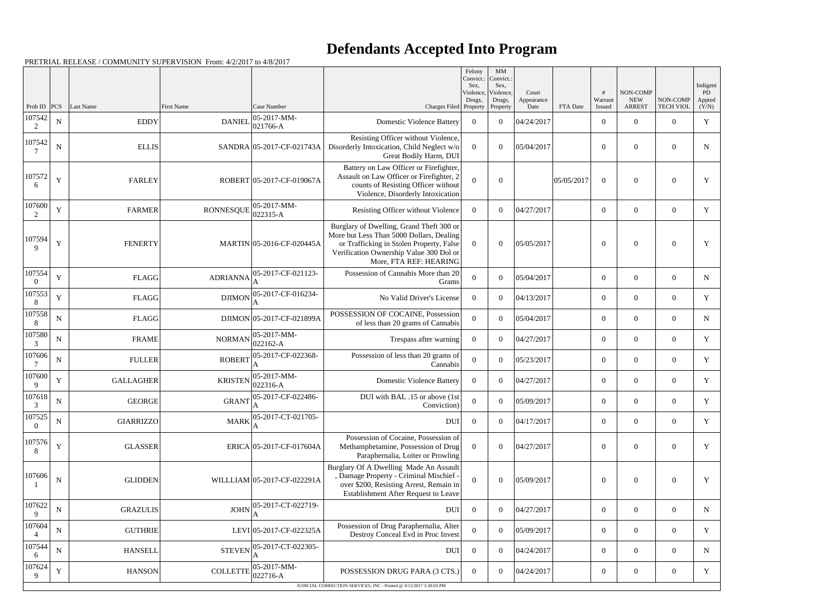| NON-COMP<br>PD<br>Violence,<br>Violence,<br>Court<br><b>NEW</b><br>NON-COMP<br>Drugs,<br>Warrant<br>Drugs,<br>Appted<br>Appearance<br> PCS <br>Last Name<br>First Name<br>Case Number<br><b>ARREST</b><br><b>TECH VIOL</b><br>(Y/N)<br>Prob ID<br>Charges Filed Property<br>Date<br>FTA Date<br>Property<br>Issued<br>107542<br>$ 05-2017-MM-$<br>${\bf N}$<br>$\mathbf Y$<br><b>EDDY</b><br><b>DANIEL</b><br><b>Domestic Violence Battery</b><br>04/24/2017<br>$\overline{0}$<br>$\theta$<br>$\overline{0}$<br>$\overline{0}$<br>$\overline{0}$<br>$ 021766-A$<br>2<br>Resisting Officer without Violence,<br>107542<br>$\mathbf N$<br><b>ELLIS</b><br>SANDRA 05-2017-CF-021743A<br>Disorderly Intoxication, Child Neglect w/o<br>05/04/2017<br>$\Omega$<br>$\Omega$<br>$\overline{0}$<br>$\theta$<br>$\theta$<br>N<br>Great Bodily Harm, DUI<br>Battery on Law Officer or Firefighter,<br>107572<br>Assault on Law Officer or Firefighter, 2<br>Y<br>$\overline{0}$<br><b>FARLEY</b><br>$\boldsymbol{0}$<br>$\mathbf{0}$<br>Y<br>ROBERT 05-2017-CF-019067A<br>$\overline{0}$<br>05/05/2017<br>$\overline{0}$<br>counts of Resisting Officer without<br>6<br>Violence, Disorderly Intoxication<br>107600<br>$ 05-2017-MM-$<br>Y<br><b>RONNESQUE</b><br><b>FARMER</b><br>Resisting Officer without Violence<br>04/27/2017<br>$\overline{0}$<br>$\overline{0}$<br>Y<br>$\overline{0}$<br>$\overline{0}$<br>$\mathbf{0}$<br>$ 022315-A$<br>2<br>Burglary of Dwelling, Grand Theft 300 or<br>More but Less Than 5000 Dollars, Dealing<br>107594<br>Y<br>MARTIN 05-2016-CF-020445A<br>or Trafficking in Stolen Property, False<br>$\mathbf{0}$<br>Y<br><b>FENERTY</b><br>$\boldsymbol{0}$<br>$\theta$<br>05/05/2017<br>$\overline{0}$<br>$\theta$<br>9<br>Verification Ownership Value 300 Dol or<br>More, FTA REF: HEARING<br>107554<br>05-2017-CF-021123-<br>Possession of Cannabis More than 20<br>$\mathbf Y$<br><b>FLAGG</b><br><b>ADRIANNA</b><br>$\Omega$<br>$\Omega$<br>05/04/2017<br>$\overline{0}$<br>$\theta$<br>$\overline{0}$<br>N<br>$\Omega$<br>Grams<br>107553<br>05-2017-CF-016234-<br>Y<br><b>DJIMON</b><br><b>FLAGG</b><br>04/13/2017<br>$\overline{0}$<br>$\overline{0}$<br>Y<br>No Valid Driver's License<br>$\Omega$<br>$\theta$<br>$\overline{0}$<br>8<br>107558<br>POSSESSION OF COCAINE, Possession<br>${\bf N}$<br><b>FLAGG</b><br>DJIMON 05-2017-CF-021899A<br>$\overline{0}$<br>$\boldsymbol{0}$<br>05/04/2017<br>$\overline{0}$<br>$\theta$<br>$\overline{0}$<br>N<br>8<br>of less than 20 grams of Cannabis<br>107580<br>$ 05-2017-MM-$<br>$\mathbf N$<br><b>FRAME</b><br><b>NORMAN</b><br>04/27/2017<br>$\overline{0}$<br>$\overline{0}$<br>Y<br>Trespass after warning<br>$\overline{0}$<br>$\theta$<br>$\boldsymbol{0}$<br>$022162 - A$<br>3<br>107606<br>05-2017-CF-022368-<br>Possession of less than 20 grams of<br>$\mathbf N$<br><b>ROBERT</b><br><b>FULLER</b><br>$\theta$<br>$\Omega$<br>05/23/2017<br>$\theta$<br>Y<br>$\overline{0}$<br>$\overline{0}$<br>7<br>Cannabis<br>A<br>107600<br>$ 05-2017-MM-$<br>$\mathbf Y$<br><b>KRISTEN</b><br><b>GALLAGHER</b><br>04/27/2017<br>Y<br><b>Domestic Violence Battery</b><br>$\theta$<br>$\theta$<br>$\overline{0}$<br>$\overline{0}$<br>$\overline{0}$<br>$022316-A$<br>9<br>107618<br>DUI with BAL .15 or above (1st<br>05-2017-CF-022486-<br>$\mathbf N$<br><b>GEORGE</b><br><b>GRANT</b><br>$\boldsymbol{0}$<br>$\overline{0}$<br>Y<br>$\overline{0}$<br>05/09/2017<br>$\mathbf{0}$<br>$\overline{0}$<br>$\mathcal{R}$<br>Conviction)<br>107525<br>05-2017-CT-021705-<br><b>MARK</b><br><b>DUI</b><br>$\mathbf N$<br><b>GIARRIZZO</b><br>$\overline{0}$<br>$\theta$<br>04/17/2017<br>$\overline{0}$<br>$\overline{0}$<br>$\theta$<br>Y<br>$\theta$<br>Possession of Cocaine, Possession of<br>107576<br>Y<br><b>GLASSER</b><br>ERICA 05-2017-CF-017604A<br>$\theta$<br>$\boldsymbol{0}$<br>04/27/2017<br>$\theta$<br>Y<br>Methamphetamine, Possession of Drug<br>$\mathbf{0}$<br>$\theta$<br>8<br>Paraphernalia, Loiter or Prowling<br>Burglary Of A Dwelling Made An Assault<br>, Damage Property - Criminal Mischief -<br>107606<br>$\mathbf N$<br><b>GLIDDEN</b><br>WILLLIAM 05-2017-CF-022291A<br>05/09/2017<br>$\theta$<br>$\overline{0}$<br>$\mathbf{0}$<br>$\boldsymbol{0}$<br>$\overline{0}$<br>Y<br>over \$200, Resisting Arrest, Remain in<br>Establishment After Request to Leave<br>107622<br>05-2017-CT-022719-<br><b>JOHN</b><br>${\bf N}$<br><b>GRAZULIS</b><br>04/27/2017<br><b>DUI</b><br>$\overline{0}$<br>$\theta$<br>$\overline{0}$<br>$\overline{0}$<br>$\overline{0}$<br>N<br>9<br>107604<br>Possession of Drug Paraphernalia, Alter<br>$\mathbf N$<br><b>GUTHRIE</b><br>LEVI 05-2017-CF-022325A<br>$\boldsymbol{0}$<br>$\boldsymbol{0}$<br>05/09/2017<br>$\overline{0}$<br>Y<br>$\boldsymbol{0}$<br>$\overline{0}$<br>Destroy Conceal Evd in Proc Invest<br>107544<br>05-2017-CT-022305-<br><b>STEVEN</b><br><b>DUI</b><br>${\bf N}$<br><b>HANSELL</b><br>$\overline{0}$<br>$\boldsymbol{0}$<br>04/24/2017<br>$\overline{0}$<br>$\overline{0}$<br>$\overline{0}$<br>N<br>6<br>107624<br>05-2017-MM-<br>Y<br><b>COLLETTE</b><br><b>HANSON</b><br>POSSESSION DRUG PARA (3 CTS.)<br>04/24/2017<br>$\mathbf{0}$<br>$\boldsymbol{0}$<br>$\boldsymbol{0}$<br>$\overline{0}$<br>Y<br>$\overline{0}$<br>$ 022716-A$<br>9 |  |  |  | Felony<br>Convict.: | MM<br>Convict.: |  |  |          |
|------------------------------------------------------------------------------------------------------------------------------------------------------------------------------------------------------------------------------------------------------------------------------------------------------------------------------------------------------------------------------------------------------------------------------------------------------------------------------------------------------------------------------------------------------------------------------------------------------------------------------------------------------------------------------------------------------------------------------------------------------------------------------------------------------------------------------------------------------------------------------------------------------------------------------------------------------------------------------------------------------------------------------------------------------------------------------------------------------------------------------------------------------------------------------------------------------------------------------------------------------------------------------------------------------------------------------------------------------------------------------------------------------------------------------------------------------------------------------------------------------------------------------------------------------------------------------------------------------------------------------------------------------------------------------------------------------------------------------------------------------------------------------------------------------------------------------------------------------------------------------------------------------------------------------------------------------------------------------------------------------------------------------------------------------------------------------------------------------------------------------------------------------------------------------------------------------------------------------------------------------------------------------------------------------------------------------------------------------------------------------------------------------------------------------------------------------------------------------------------------------------------------------------------------------------------------------------------------------------------------------------------------------------------------------------------------------------------------------------------------------------------------------------------------------------------------------------------------------------------------------------------------------------------------------------------------------------------------------------------------------------------------------------------------------------------------------------------------------------------------------------------------------------------------------------------------------------------------------------------------------------------------------------------------------------------------------------------------------------------------------------------------------------------------------------------------------------------------------------------------------------------------------------------------------------------------------------------------------------------------------------------------------------------------------------------------------------------------------------------------------------------------------------------------------------------------------------------------------------------------------------------------------------------------------------------------------------------------------------------------------------------------------------------------------------------------------------------------------------------------------------------------------------------------------------------------------------------------------------------------------------------------------------------------------------------------------------------------------------------------------------------------------------------------------------------------------------------------------------------------------------------------------------------------------------------------------------------------------------------------------------------------------------------------------------------------------------------------------------------------------------------------------------------------------------------------------------------------------------------------------------------------------------------------------------------------------------------------------------------------------------------------------------------------------------------------------------------------------------------------------------------------------------------------------------------------------------------------------------------------------------------------------------------------------------------------------|--|--|--|---------------------|-----------------|--|--|----------|
|                                                                                                                                                                                                                                                                                                                                                                                                                                                                                                                                                                                                                                                                                                                                                                                                                                                                                                                                                                                                                                                                                                                                                                                                                                                                                                                                                                                                                                                                                                                                                                                                                                                                                                                                                                                                                                                                                                                                                                                                                                                                                                                                                                                                                                                                                                                                                                                                                                                                                                                                                                                                                                                                                                                                                                                                                                                                                                                                                                                                                                                                                                                                                                                                                                                                                                                                                                                                                                                                                                                                                                                                                                                                                                                                                                                                                                                                                                                                                                                                                                                                                                                                                                                                                                                                                                                                                                                                                                                                                                                                                                                                                                                                                                                                                                                                                                                                                                                                                                                                                                                                                                                                                                                                                                                                                                                              |  |  |  | Sex.                | Sex,            |  |  | Indigent |
|                                                                                                                                                                                                                                                                                                                                                                                                                                                                                                                                                                                                                                                                                                                                                                                                                                                                                                                                                                                                                                                                                                                                                                                                                                                                                                                                                                                                                                                                                                                                                                                                                                                                                                                                                                                                                                                                                                                                                                                                                                                                                                                                                                                                                                                                                                                                                                                                                                                                                                                                                                                                                                                                                                                                                                                                                                                                                                                                                                                                                                                                                                                                                                                                                                                                                                                                                                                                                                                                                                                                                                                                                                                                                                                                                                                                                                                                                                                                                                                                                                                                                                                                                                                                                                                                                                                                                                                                                                                                                                                                                                                                                                                                                                                                                                                                                                                                                                                                                                                                                                                                                                                                                                                                                                                                                                                              |  |  |  |                     |                 |  |  |          |
|                                                                                                                                                                                                                                                                                                                                                                                                                                                                                                                                                                                                                                                                                                                                                                                                                                                                                                                                                                                                                                                                                                                                                                                                                                                                                                                                                                                                                                                                                                                                                                                                                                                                                                                                                                                                                                                                                                                                                                                                                                                                                                                                                                                                                                                                                                                                                                                                                                                                                                                                                                                                                                                                                                                                                                                                                                                                                                                                                                                                                                                                                                                                                                                                                                                                                                                                                                                                                                                                                                                                                                                                                                                                                                                                                                                                                                                                                                                                                                                                                                                                                                                                                                                                                                                                                                                                                                                                                                                                                                                                                                                                                                                                                                                                                                                                                                                                                                                                                                                                                                                                                                                                                                                                                                                                                                                              |  |  |  |                     |                 |  |  |          |
|                                                                                                                                                                                                                                                                                                                                                                                                                                                                                                                                                                                                                                                                                                                                                                                                                                                                                                                                                                                                                                                                                                                                                                                                                                                                                                                                                                                                                                                                                                                                                                                                                                                                                                                                                                                                                                                                                                                                                                                                                                                                                                                                                                                                                                                                                                                                                                                                                                                                                                                                                                                                                                                                                                                                                                                                                                                                                                                                                                                                                                                                                                                                                                                                                                                                                                                                                                                                                                                                                                                                                                                                                                                                                                                                                                                                                                                                                                                                                                                                                                                                                                                                                                                                                                                                                                                                                                                                                                                                                                                                                                                                                                                                                                                                                                                                                                                                                                                                                                                                                                                                                                                                                                                                                                                                                                                              |  |  |  |                     |                 |  |  |          |
|                                                                                                                                                                                                                                                                                                                                                                                                                                                                                                                                                                                                                                                                                                                                                                                                                                                                                                                                                                                                                                                                                                                                                                                                                                                                                                                                                                                                                                                                                                                                                                                                                                                                                                                                                                                                                                                                                                                                                                                                                                                                                                                                                                                                                                                                                                                                                                                                                                                                                                                                                                                                                                                                                                                                                                                                                                                                                                                                                                                                                                                                                                                                                                                                                                                                                                                                                                                                                                                                                                                                                                                                                                                                                                                                                                                                                                                                                                                                                                                                                                                                                                                                                                                                                                                                                                                                                                                                                                                                                                                                                                                                                                                                                                                                                                                                                                                                                                                                                                                                                                                                                                                                                                                                                                                                                                                              |  |  |  |                     |                 |  |  |          |
|                                                                                                                                                                                                                                                                                                                                                                                                                                                                                                                                                                                                                                                                                                                                                                                                                                                                                                                                                                                                                                                                                                                                                                                                                                                                                                                                                                                                                                                                                                                                                                                                                                                                                                                                                                                                                                                                                                                                                                                                                                                                                                                                                                                                                                                                                                                                                                                                                                                                                                                                                                                                                                                                                                                                                                                                                                                                                                                                                                                                                                                                                                                                                                                                                                                                                                                                                                                                                                                                                                                                                                                                                                                                                                                                                                                                                                                                                                                                                                                                                                                                                                                                                                                                                                                                                                                                                                                                                                                                                                                                                                                                                                                                                                                                                                                                                                                                                                                                                                                                                                                                                                                                                                                                                                                                                                                              |  |  |  |                     |                 |  |  |          |
|                                                                                                                                                                                                                                                                                                                                                                                                                                                                                                                                                                                                                                                                                                                                                                                                                                                                                                                                                                                                                                                                                                                                                                                                                                                                                                                                                                                                                                                                                                                                                                                                                                                                                                                                                                                                                                                                                                                                                                                                                                                                                                                                                                                                                                                                                                                                                                                                                                                                                                                                                                                                                                                                                                                                                                                                                                                                                                                                                                                                                                                                                                                                                                                                                                                                                                                                                                                                                                                                                                                                                                                                                                                                                                                                                                                                                                                                                                                                                                                                                                                                                                                                                                                                                                                                                                                                                                                                                                                                                                                                                                                                                                                                                                                                                                                                                                                                                                                                                                                                                                                                                                                                                                                                                                                                                                                              |  |  |  |                     |                 |  |  |          |
|                                                                                                                                                                                                                                                                                                                                                                                                                                                                                                                                                                                                                                                                                                                                                                                                                                                                                                                                                                                                                                                                                                                                                                                                                                                                                                                                                                                                                                                                                                                                                                                                                                                                                                                                                                                                                                                                                                                                                                                                                                                                                                                                                                                                                                                                                                                                                                                                                                                                                                                                                                                                                                                                                                                                                                                                                                                                                                                                                                                                                                                                                                                                                                                                                                                                                                                                                                                                                                                                                                                                                                                                                                                                                                                                                                                                                                                                                                                                                                                                                                                                                                                                                                                                                                                                                                                                                                                                                                                                                                                                                                                                                                                                                                                                                                                                                                                                                                                                                                                                                                                                                                                                                                                                                                                                                                                              |  |  |  |                     |                 |  |  |          |
|                                                                                                                                                                                                                                                                                                                                                                                                                                                                                                                                                                                                                                                                                                                                                                                                                                                                                                                                                                                                                                                                                                                                                                                                                                                                                                                                                                                                                                                                                                                                                                                                                                                                                                                                                                                                                                                                                                                                                                                                                                                                                                                                                                                                                                                                                                                                                                                                                                                                                                                                                                                                                                                                                                                                                                                                                                                                                                                                                                                                                                                                                                                                                                                                                                                                                                                                                                                                                                                                                                                                                                                                                                                                                                                                                                                                                                                                                                                                                                                                                                                                                                                                                                                                                                                                                                                                                                                                                                                                                                                                                                                                                                                                                                                                                                                                                                                                                                                                                                                                                                                                                                                                                                                                                                                                                                                              |  |  |  |                     |                 |  |  |          |
|                                                                                                                                                                                                                                                                                                                                                                                                                                                                                                                                                                                                                                                                                                                                                                                                                                                                                                                                                                                                                                                                                                                                                                                                                                                                                                                                                                                                                                                                                                                                                                                                                                                                                                                                                                                                                                                                                                                                                                                                                                                                                                                                                                                                                                                                                                                                                                                                                                                                                                                                                                                                                                                                                                                                                                                                                                                                                                                                                                                                                                                                                                                                                                                                                                                                                                                                                                                                                                                                                                                                                                                                                                                                                                                                                                                                                                                                                                                                                                                                                                                                                                                                                                                                                                                                                                                                                                                                                                                                                                                                                                                                                                                                                                                                                                                                                                                                                                                                                                                                                                                                                                                                                                                                                                                                                                                              |  |  |  |                     |                 |  |  |          |
|                                                                                                                                                                                                                                                                                                                                                                                                                                                                                                                                                                                                                                                                                                                                                                                                                                                                                                                                                                                                                                                                                                                                                                                                                                                                                                                                                                                                                                                                                                                                                                                                                                                                                                                                                                                                                                                                                                                                                                                                                                                                                                                                                                                                                                                                                                                                                                                                                                                                                                                                                                                                                                                                                                                                                                                                                                                                                                                                                                                                                                                                                                                                                                                                                                                                                                                                                                                                                                                                                                                                                                                                                                                                                                                                                                                                                                                                                                                                                                                                                                                                                                                                                                                                                                                                                                                                                                                                                                                                                                                                                                                                                                                                                                                                                                                                                                                                                                                                                                                                                                                                                                                                                                                                                                                                                                                              |  |  |  |                     |                 |  |  |          |
|                                                                                                                                                                                                                                                                                                                                                                                                                                                                                                                                                                                                                                                                                                                                                                                                                                                                                                                                                                                                                                                                                                                                                                                                                                                                                                                                                                                                                                                                                                                                                                                                                                                                                                                                                                                                                                                                                                                                                                                                                                                                                                                                                                                                                                                                                                                                                                                                                                                                                                                                                                                                                                                                                                                                                                                                                                                                                                                                                                                                                                                                                                                                                                                                                                                                                                                                                                                                                                                                                                                                                                                                                                                                                                                                                                                                                                                                                                                                                                                                                                                                                                                                                                                                                                                                                                                                                                                                                                                                                                                                                                                                                                                                                                                                                                                                                                                                                                                                                                                                                                                                                                                                                                                                                                                                                                                              |  |  |  |                     |                 |  |  |          |
|                                                                                                                                                                                                                                                                                                                                                                                                                                                                                                                                                                                                                                                                                                                                                                                                                                                                                                                                                                                                                                                                                                                                                                                                                                                                                                                                                                                                                                                                                                                                                                                                                                                                                                                                                                                                                                                                                                                                                                                                                                                                                                                                                                                                                                                                                                                                                                                                                                                                                                                                                                                                                                                                                                                                                                                                                                                                                                                                                                                                                                                                                                                                                                                                                                                                                                                                                                                                                                                                                                                                                                                                                                                                                                                                                                                                                                                                                                                                                                                                                                                                                                                                                                                                                                                                                                                                                                                                                                                                                                                                                                                                                                                                                                                                                                                                                                                                                                                                                                                                                                                                                                                                                                                                                                                                                                                              |  |  |  |                     |                 |  |  |          |
|                                                                                                                                                                                                                                                                                                                                                                                                                                                                                                                                                                                                                                                                                                                                                                                                                                                                                                                                                                                                                                                                                                                                                                                                                                                                                                                                                                                                                                                                                                                                                                                                                                                                                                                                                                                                                                                                                                                                                                                                                                                                                                                                                                                                                                                                                                                                                                                                                                                                                                                                                                                                                                                                                                                                                                                                                                                                                                                                                                                                                                                                                                                                                                                                                                                                                                                                                                                                                                                                                                                                                                                                                                                                                                                                                                                                                                                                                                                                                                                                                                                                                                                                                                                                                                                                                                                                                                                                                                                                                                                                                                                                                                                                                                                                                                                                                                                                                                                                                                                                                                                                                                                                                                                                                                                                                                                              |  |  |  |                     |                 |  |  |          |
|                                                                                                                                                                                                                                                                                                                                                                                                                                                                                                                                                                                                                                                                                                                                                                                                                                                                                                                                                                                                                                                                                                                                                                                                                                                                                                                                                                                                                                                                                                                                                                                                                                                                                                                                                                                                                                                                                                                                                                                                                                                                                                                                                                                                                                                                                                                                                                                                                                                                                                                                                                                                                                                                                                                                                                                                                                                                                                                                                                                                                                                                                                                                                                                                                                                                                                                                                                                                                                                                                                                                                                                                                                                                                                                                                                                                                                                                                                                                                                                                                                                                                                                                                                                                                                                                                                                                                                                                                                                                                                                                                                                                                                                                                                                                                                                                                                                                                                                                                                                                                                                                                                                                                                                                                                                                                                                              |  |  |  |                     |                 |  |  |          |
|                                                                                                                                                                                                                                                                                                                                                                                                                                                                                                                                                                                                                                                                                                                                                                                                                                                                                                                                                                                                                                                                                                                                                                                                                                                                                                                                                                                                                                                                                                                                                                                                                                                                                                                                                                                                                                                                                                                                                                                                                                                                                                                                                                                                                                                                                                                                                                                                                                                                                                                                                                                                                                                                                                                                                                                                                                                                                                                                                                                                                                                                                                                                                                                                                                                                                                                                                                                                                                                                                                                                                                                                                                                                                                                                                                                                                                                                                                                                                                                                                                                                                                                                                                                                                                                                                                                                                                                                                                                                                                                                                                                                                                                                                                                                                                                                                                                                                                                                                                                                                                                                                                                                                                                                                                                                                                                              |  |  |  |                     |                 |  |  |          |
|                                                                                                                                                                                                                                                                                                                                                                                                                                                                                                                                                                                                                                                                                                                                                                                                                                                                                                                                                                                                                                                                                                                                                                                                                                                                                                                                                                                                                                                                                                                                                                                                                                                                                                                                                                                                                                                                                                                                                                                                                                                                                                                                                                                                                                                                                                                                                                                                                                                                                                                                                                                                                                                                                                                                                                                                                                                                                                                                                                                                                                                                                                                                                                                                                                                                                                                                                                                                                                                                                                                                                                                                                                                                                                                                                                                                                                                                                                                                                                                                                                                                                                                                                                                                                                                                                                                                                                                                                                                                                                                                                                                                                                                                                                                                                                                                                                                                                                                                                                                                                                                                                                                                                                                                                                                                                                                              |  |  |  |                     |                 |  |  |          |
|                                                                                                                                                                                                                                                                                                                                                                                                                                                                                                                                                                                                                                                                                                                                                                                                                                                                                                                                                                                                                                                                                                                                                                                                                                                                                                                                                                                                                                                                                                                                                                                                                                                                                                                                                                                                                                                                                                                                                                                                                                                                                                                                                                                                                                                                                                                                                                                                                                                                                                                                                                                                                                                                                                                                                                                                                                                                                                                                                                                                                                                                                                                                                                                                                                                                                                                                                                                                                                                                                                                                                                                                                                                                                                                                                                                                                                                                                                                                                                                                                                                                                                                                                                                                                                                                                                                                                                                                                                                                                                                                                                                                                                                                                                                                                                                                                                                                                                                                                                                                                                                                                                                                                                                                                                                                                                                              |  |  |  |                     |                 |  |  |          |
|                                                                                                                                                                                                                                                                                                                                                                                                                                                                                                                                                                                                                                                                                                                                                                                                                                                                                                                                                                                                                                                                                                                                                                                                                                                                                                                                                                                                                                                                                                                                                                                                                                                                                                                                                                                                                                                                                                                                                                                                                                                                                                                                                                                                                                                                                                                                                                                                                                                                                                                                                                                                                                                                                                                                                                                                                                                                                                                                                                                                                                                                                                                                                                                                                                                                                                                                                                                                                                                                                                                                                                                                                                                                                                                                                                                                                                                                                                                                                                                                                                                                                                                                                                                                                                                                                                                                                                                                                                                                                                                                                                                                                                                                                                                                                                                                                                                                                                                                                                                                                                                                                                                                                                                                                                                                                                                              |  |  |  |                     |                 |  |  |          |
|                                                                                                                                                                                                                                                                                                                                                                                                                                                                                                                                                                                                                                                                                                                                                                                                                                                                                                                                                                                                                                                                                                                                                                                                                                                                                                                                                                                                                                                                                                                                                                                                                                                                                                                                                                                                                                                                                                                                                                                                                                                                                                                                                                                                                                                                                                                                                                                                                                                                                                                                                                                                                                                                                                                                                                                                                                                                                                                                                                                                                                                                                                                                                                                                                                                                                                                                                                                                                                                                                                                                                                                                                                                                                                                                                                                                                                                                                                                                                                                                                                                                                                                                                                                                                                                                                                                                                                                                                                                                                                                                                                                                                                                                                                                                                                                                                                                                                                                                                                                                                                                                                                                                                                                                                                                                                                                              |  |  |  |                     |                 |  |  |          |
| JUDICIAL CORRECTION SERVICES, INC - Printed @ 4/13/2017 3:28:03 PM                                                                                                                                                                                                                                                                                                                                                                                                                                                                                                                                                                                                                                                                                                                                                                                                                                                                                                                                                                                                                                                                                                                                                                                                                                                                                                                                                                                                                                                                                                                                                                                                                                                                                                                                                                                                                                                                                                                                                                                                                                                                                                                                                                                                                                                                                                                                                                                                                                                                                                                                                                                                                                                                                                                                                                                                                                                                                                                                                                                                                                                                                                                                                                                                                                                                                                                                                                                                                                                                                                                                                                                                                                                                                                                                                                                                                                                                                                                                                                                                                                                                                                                                                                                                                                                                                                                                                                                                                                                                                                                                                                                                                                                                                                                                                                                                                                                                                                                                                                                                                                                                                                                                                                                                                                                           |  |  |  |                     |                 |  |  |          |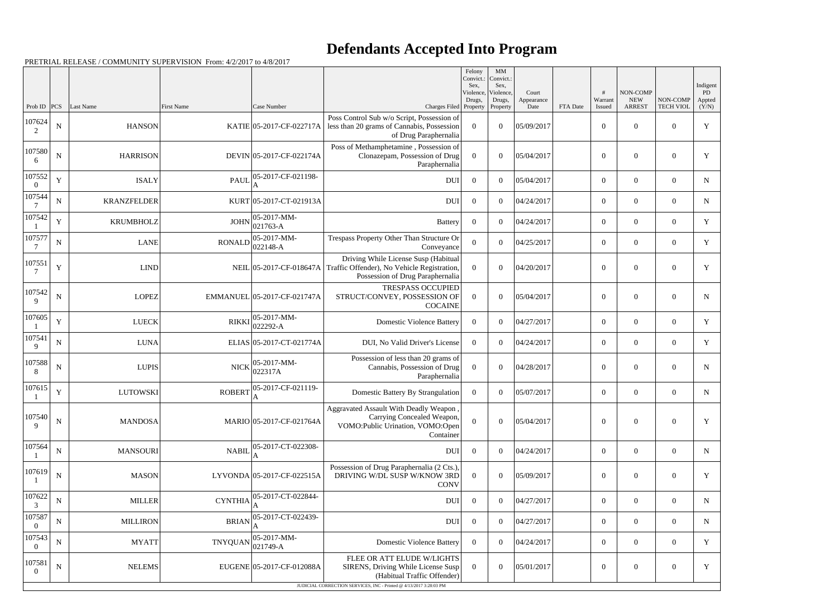|                          |             |                    |                |                             |                                                                                                                         | Felony<br>Convict.:<br>Sex,<br>Violence, | MM<br>Convict.:<br>Sex,<br>Violence, | Court              |          | #                 | NON-COMP                    |                              | Indigent<br>PD  |
|--------------------------|-------------|--------------------|----------------|-----------------------------|-------------------------------------------------------------------------------------------------------------------------|------------------------------------------|--------------------------------------|--------------------|----------|-------------------|-----------------------------|------------------------------|-----------------|
| Prob ID $ PCS $          |             | Last Name          | First Name     | Case Number                 | Charges Filed Property                                                                                                  | Drugs,                                   | Drugs,<br>Property                   | Appearance<br>Date | FTA Date | Warrant<br>Issued | <b>NEW</b><br><b>ARREST</b> | NON-COMP<br><b>TECH VIOL</b> | Appted<br>(Y/N) |
| 107624<br>2              | ${\bf N}$   | <b>HANSON</b>      |                | KATIE 05-2017-CF-022717A    | Poss Control Sub w/o Script, Possession of<br>less than 20 grams of Cannabis, Possession<br>of Drug Paraphernalia       | $\overline{0}$                           | $\overline{0}$                       | 05/09/2017         |          | $\boldsymbol{0}$  | $\mathbf{0}$                | $\overline{0}$               | $\mathbf Y$     |
| 107580<br>6              | ${\bf N}$   | <b>HARRISON</b>    |                | DEVIN 05-2017-CF-022174A    | Poss of Methamphetamine, Possession of<br>Clonazepam, Possession of Drug<br>Paraphernalia                               | $\theta$                                 | $\overline{0}$                       | 05/04/2017         |          | $\overline{0}$    | $\mathbf{0}$                | $\overline{0}$               | Y               |
| 107552<br>$\overline{0}$ | $\mathbf Y$ | <b>ISALY</b>       | <b>PAUL</b>    | 05-2017-CF-021198-          | <b>DUI</b>                                                                                                              | $\overline{0}$                           | $\theta$                             | 05/04/2017         |          | $\overline{0}$    | $\overline{0}$              | $\overline{0}$               | $\mathbf N$     |
| 107544                   | ${\bf N}$   | <b>KRANZFELDER</b> |                | KURT 05-2017-CT-021913A     | <b>DUI</b>                                                                                                              | $\overline{0}$                           | $\theta$                             | 04/24/2017         |          | $\overline{0}$    | $\overline{0}$              | $\overline{0}$               | N               |
| 107542                   | $\mathbf Y$ | <b>KRUMBHOLZ</b>   | <b>JOHN</b>    | 05-2017-MM-<br>021763-A     | <b>Battery</b>                                                                                                          | $\overline{0}$                           | $\theta$                             | 04/24/2017         |          | $\overline{0}$    | $\overline{0}$              | $\overline{0}$               | Y               |
| 107577<br>$\tau$         | ${\bf N}$   | LANE               | <b>RONALD</b>  | 05-2017-MM-<br>022148-A     | Trespass Property Other Than Structure Or<br>Conveyance                                                                 | $\overline{0}$                           | $\theta$                             | 04/25/2017         |          | $\overline{0}$    | $\overline{0}$              | $\overline{0}$               | Y               |
| 107551                   | $\mathbf Y$ | LIND               |                | NEIL 05-2017-CF-018647A     | Driving While License Susp (Habitual<br>Traffic Offender), No Vehicle Registration,<br>Possession of Drug Paraphernalia | $\Omega$                                 | $\theta$                             | 04/20/2017         |          | $\boldsymbol{0}$  | $\overline{0}$              | $\overline{0}$               | $\mathbf Y$     |
| 107542<br>9              | ${\bf N}$   | LOPEZ              |                | EMMANUEL 05-2017-CF-021747A | <b>TRESPASS OCCUPIED</b><br>STRUCT/CONVEY, POSSESSION OF<br><b>COCAINE</b>                                              | $\theta$                                 | $\theta$                             | 05/04/2017         |          | $\overline{0}$    | $\mathbf{0}$                | $\theta$                     | $\mathbf N$     |
| 107605                   | $\mathbf Y$ | <b>LUECK</b>       | <b>RIKKI</b>   | 05-2017-MM-<br>022292-A     | <b>Domestic Violence Battery</b>                                                                                        | $\theta$                                 | $\theta$                             | 04/27/2017         |          | $\overline{0}$    | $\overline{0}$              | $\overline{0}$               | Y               |
| 107541<br>9              | ${\bf N}$   | <b>LUNA</b>        |                | ELIAS 05-2017-CT-021774A    | DUI, No Valid Driver's License                                                                                          | $\Omega$                                 | $\theta$                             | 04/24/2017         |          | $\overline{0}$    | $\overline{0}$              | $\theta$                     | Y               |
| 107588<br>8              | ${\bf N}$   | LUPIS              | <b>NICK</b>    | 05-2017-MM-<br>022317A      | Possession of less than 20 grams of<br>Cannabis, Possession of Drug<br>Paraphernalia                                    | $\overline{0}$                           | $\theta$                             | 04/28/2017         |          | $\overline{0}$    | $\boldsymbol{0}$            | $\overline{0}$               | N               |
| 107615                   | $\mathbf Y$ | <b>LUTOWSKI</b>    | <b>ROBERT</b>  | 05-2017-CF-021119-<br>A     | Domestic Battery By Strangulation                                                                                       | $\overline{0}$                           | $\overline{0}$                       | 05/07/2017         |          | $\boldsymbol{0}$  | $\overline{0}$              | $\overline{0}$               | N               |
| 107540<br>$\mathbf{Q}$   | ${\bf N}$   | <b>MANDOSA</b>     |                | MARIO 05-2017-CF-021764A    | Aggravated Assault With Deadly Weapon,<br>Carrying Concealed Weapon,<br>VOMO: Public Urination, VOMO: Open<br>Container | $\Omega$                                 | $\overline{0}$                       | 05/04/2017         |          | $\boldsymbol{0}$  | $\boldsymbol{0}$            | $\boldsymbol{0}$             | Y               |
| 107564                   | ${\bf N}$   | MANSOURI           | <b>NABIL</b>   | 05-2017-CT-022308-          | <b>DUI</b>                                                                                                              | $\overline{0}$                           | $\overline{0}$                       | 04/24/2017         |          | $\boldsymbol{0}$  | $\overline{0}$              | $\overline{0}$               | N               |
| 107619                   | N           | <b>MASON</b>       |                | LYVONDA 05-2017-CF-022515A  | Possession of Drug Paraphernalia (2 Cts.),<br>DRIVING W/DL SUSP W/KNOW 3RD<br><b>CONV</b>                               | $\Omega$                                 | $\overline{0}$                       | 05/09/2017         |          | $\mathbf{0}$      | $\boldsymbol{0}$            | $\overline{0}$               | Y               |
| 107622<br>3              | $\mathbf N$ | <b>MILLER</b>      | <b>CYNTHIA</b> | 05-2017-CT-022844-          | <b>DUI</b>                                                                                                              | $\overline{0}$                           | $\overline{0}$                       | 04/27/2017         |          | $\overline{0}$    | $\overline{0}$              | $\overline{0}$               | N               |
| 107587<br>$\Omega$       | N           | <b>MILLIRON</b>    | <b>BRIAN</b>   | 05-2017-CT-022439-          | <b>DUI</b>                                                                                                              | $\overline{0}$                           | $\overline{0}$                       | 04/27/2017         |          | $\boldsymbol{0}$  | $\overline{0}$              | $\overline{0}$               | N               |
| 107543<br>$\Omega$       | $\mathbf N$ | <b>MYATT</b>       | <b>TNYQUAN</b> | 05-2017-MM-<br>021749-A     | <b>Domestic Violence Battery</b>                                                                                        | $\overline{0}$                           | $\overline{0}$                       | 04/24/2017         |          | $\overline{0}$    | $\overline{0}$              | $\overline{0}$               | Y               |
| 107581<br>$\overline{0}$ | $\mathbf N$ | <b>NELEMS</b>      |                | EUGENE 05-2017-CF-012088A   | FLEE OR ATT ELUDE W/LIGHTS<br>SIRENS, Driving While License Susp<br>(Habitual Traffic Offender)                         | $\Omega$                                 | $\overline{0}$                       | 05/01/2017         |          | $\mathbf{0}$      | $\boldsymbol{0}$            | $\overline{0}$               | Y               |
|                          |             |                    |                |                             | JUDICIAL CORRECTION SERVICES, INC - Printed @ 4/13/2017 3:28:03 PM                                                      |                                          |                                      |                    |          |                   |                             |                              |                 |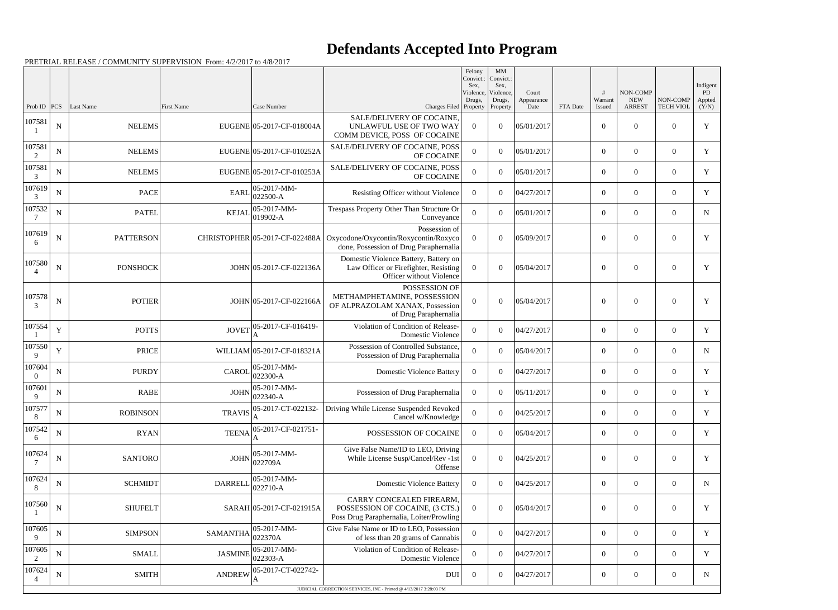|                          |             |                  |                   |                                |                                                                                                            | Felony<br>Convict.:<br>Sex. | MM<br>Convict.:<br>Sex, |                     |          |                  |                        |                  | Indigent     |
|--------------------------|-------------|------------------|-------------------|--------------------------------|------------------------------------------------------------------------------------------------------------|-----------------------------|-------------------------|---------------------|----------|------------------|------------------------|------------------|--------------|
|                          |             |                  |                   |                                |                                                                                                            | Violence,<br>Drugs,         | Violence,<br>Drugs,     | Court<br>Appearance |          | #<br>Warrant     | NON-COMP<br><b>NEW</b> | NON-COMP         | PD<br>Appted |
| Prob ID<br>107581        | PCS         | Last Name        | <b>First Name</b> | Case Number                    | Charges Filed Property<br>SALE/DELIVERY OF COCAINE,                                                        |                             | Property                | Date                | FTA Date | Issued           | <b>ARREST</b>          | <b>TECH VIOL</b> | (Y/N)        |
|                          | ${\bf N}$   | <b>NELEMS</b>    |                   | EUGENE 05-2017-CF-018004A      | UNLAWFUL USE OF TWO WAY<br>COMM DEVICE, POSS OF COCAINE                                                    | $\Omega$                    | $\theta$                | 05/01/2017          |          | $\boldsymbol{0}$ | $\overline{0}$         | $\theta$         | $\mathbf Y$  |
| 107581                   | ${\bf N}$   | <b>NELEMS</b>    |                   | EUGENE 05-2017-CF-010252A      | SALE/DELIVERY OF COCAINE, POSS<br>OF COCAINE                                                               | $\overline{0}$              | $\theta$                | 05/01/2017          |          | $\overline{0}$   | $\overline{0}$         | $\overline{0}$   | Y            |
| 107581<br>3              | ${\bf N}$   | <b>NELEMS</b>    |                   | EUGENE 05-2017-CF-010253A      | SALE/DELIVERY OF COCAINE, POSS<br>OF COCAINE                                                               | $\overline{0}$              | $\theta$                | 05/01/2017          |          | $\overline{0}$   | $\overline{0}$         | $\theta$         | $\mathbf Y$  |
| 107619<br>3              | $\mathbf N$ | <b>PACE</b>      | <b>EARL</b>       | 05-2017-MM-<br>$022500 - A$    | Resisting Officer without Violence                                                                         | $\Omega$                    | $\Omega$                | 04/27/2017          |          | $\overline{0}$   | $\overline{0}$         | $\overline{0}$   | Y            |
| 107532                   | $\mathbf N$ | <b>PATEL</b>     | <b>KEJAL</b>      | 05-2017-MM-<br>019902-A        | Trespass Property Other Than Structure Or<br>Conveyance                                                    | $\overline{0}$              | $\theta$                | 05/01/2017          |          | $\overline{0}$   | $\overline{0}$         | $\theta$         | N            |
| 107619<br>6              | $\mathbf N$ | <b>PATTERSON</b> |                   | CHRISTOPHER 05-2017-CF-022488A | Possession of<br>Oxycodone/Oxycontin/Roxycontin/Roxyco<br>done, Possession of Drug Paraphernalia           | $\theta$                    | $\theta$                | 05/09/2017          |          | $\boldsymbol{0}$ | $\overline{0}$         | $\theta$         | Y            |
| 107580<br>$\overline{4}$ | $\mathbf N$ | <b>PONSHOCK</b>  |                   | JOHN 05-2017-CF-022136A        | Domestic Violence Battery, Battery on<br>Law Officer or Firefighter, Resisting<br>Officer without Violence | $\theta$                    | $\theta$                | 05/04/2017          |          | $\overline{0}$   | $\overline{0}$         | $\theta$         | Y            |
| 107578<br>3              | ${\bf N}$   | <b>POTIER</b>    |                   | JOHN 05-2017-CF-022166A        | POSSESSION OF<br>METHAMPHETAMINE, POSSESSION<br>OF ALPRAZOLAM XANAX, Possession<br>of Drug Paraphernalia   | $\Omega$                    | $\theta$                | 05/04/2017          |          | $\overline{0}$   | $\overline{0}$         | $\theta$         | Y            |
| 107554                   | Y           | <b>POTTS</b>     | <b>JOVET</b>      | 05-2017-CF-016419-             | Violation of Condition of Release-<br>Domestic Violence                                                    | $\boldsymbol{0}$            | $\theta$                | 04/27/2017          |          | $\overline{0}$   | $\overline{0}$         | $\overline{0}$   | Y            |
| 107550<br>9              | $\mathbf Y$ | <b>PRICE</b>     |                   | WILLIAM 05-2017-CF-018321A     | Possession of Controlled Substance,<br>Possession of Drug Paraphernalia                                    | $\Omega$                    | $\Omega$                | 05/04/2017          |          | $\overline{0}$   | $\overline{0}$         | $\theta$         | N            |
| 107604                   | N           | <b>PURDY</b>     | <b>CAROL</b>      | 05-2017-MM-<br>$022300-A$      | <b>Domestic Violence Battery</b>                                                                           | $\overline{0}$              | $\theta$                | 04/27/2017          |          | $\overline{0}$   | $\overline{0}$         | $\overline{0}$   | $\mathbf Y$  |
| 107601<br>9              | $\mathbf N$ | <b>RABE</b>      | <b>JOHN</b>       | $ 05-2017-MM-$<br>022340-A     | Possession of Drug Paraphernalia                                                                           | $\overline{0}$              | $\Omega$                | 05/11/2017          |          | $\overline{0}$   | $\overline{0}$         | $\overline{0}$   | Y            |
| 107577<br>8              | $\mathbf N$ | <b>ROBINSON</b>  | <b>TRAVIS</b>     | 05-2017-CT-022132-<br>А        | Driving While License Suspended Revoked<br>Cancel w/Knowledge                                              | $\boldsymbol{0}$            | $\overline{0}$          | 04/25/2017          |          | $\boldsymbol{0}$ | $\boldsymbol{0}$       | $\overline{0}$   | Y            |
| 107542<br>6              | $\mathbf N$ | <b>RYAN</b>      | <b>TEENA</b>      | 05-2017-CF-021751-             | POSSESSION OF COCAINE                                                                                      | $\overline{0}$              | $\theta$                | 05/04/2017          |          | $\overline{0}$   | $\boldsymbol{0}$       | $\overline{0}$   | Y            |
| 107624                   | $\mathbf N$ | <b>SANTORO</b>   | <b>JOHN</b>       | 05-2017-MM-<br>022709A         | Give False Name/ID to LEO, Driving<br>While License Susp/Cancel/Rev -1st<br>Offense                        | $\Omega$                    | $\theta$                | 04/25/2017          |          | $\boldsymbol{0}$ | $\mathbf{0}$           | $\overline{0}$   | Y            |
| 107624<br>8              | ${\bf N}$   | <b>SCHMIDT</b>   | <b>DARRELL</b>    | 05-2017-MM-<br>022710-A        | <b>Domestic Violence Battery</b>                                                                           | $\overline{0}$              | $\theta$                | 04/25/2017          |          | $\overline{0}$   | $\overline{0}$         | $\overline{0}$   | N            |
| 107560                   | ${\bf N}$   | <b>SHUFELT</b>   |                   | SARAH 05-2017-CF-021915A       | CARRY CONCEALED FIREARM,<br>POSSESSION OF COCAINE, (3 CTS.)<br>Poss Drug Paraphernalia, Loiter/Prowling    | $\Omega$                    | $\theta$                | 05/04/2017          |          | $\boldsymbol{0}$ | $\boldsymbol{0}$       | $\overline{0}$   | Y            |
| 107605<br>9              | ${\bf N}$   | <b>SIMPSON</b>   | <b>SAMANTHA</b>   | 05-2017-MM-<br>022370A         | Give False Name or ID to LEO, Possession<br>of less than 20 grams of Cannabis                              | $\overline{0}$              | $\theta$                | 04/27/2017          |          | $\overline{0}$   | $\boldsymbol{0}$       | $\overline{0}$   | Y            |
| 107605<br>2              | N           | <b>SMALL</b>     | <b>JASMINE</b>    | 05-2017-MM-<br>022303-A        | Violation of Condition of Release-<br>Domestic Violence                                                    | $\overline{0}$              | $\overline{0}$          | 04/27/2017          |          | $\overline{0}$   | $\mathbf{0}$           | $\overline{0}$   | Y            |
| 107624                   | $\mathbf N$ | <b>SMITH</b>     | <b>ANDREW</b>     | 05-2017-CT-022742-<br>A        | DUI                                                                                                        | $\bf{0}$                    | $\overline{0}$          | 04/27/2017          |          | $\overline{0}$   | $\boldsymbol{0}$       | $\overline{0}$   | N            |
|                          |             |                  |                   |                                | JUDICIAL CORRECTION SERVICES, INC - Printed @ 4/13/2017 3:28:03 PM                                         |                             |                         |                     |          |                  |                        |                  |              |